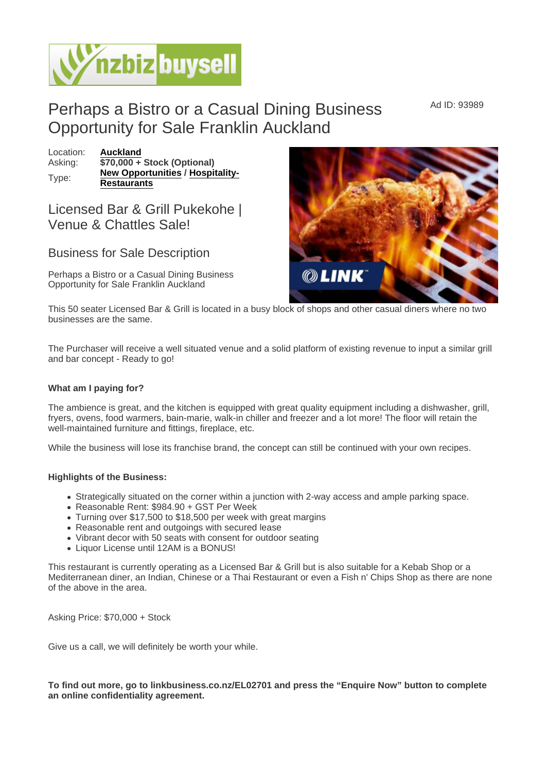## Perhaps a Bistro or a Casual Dining Business Opportunity for Sale Franklin Auckland

Location: [Auckland](https://www.nzbizbuysell.co.nz/businesses-for-sale/location/Auckland) Asking:  $\sqrt{370,000 + 1}$  Stock (Optional) Type: [New Opportunities](https://www.nzbizbuysell.co.nz/businesses-for-sale/New-Opportunities/New-Zealand) / [Hospitality-](https://www.nzbizbuysell.co.nz/businesses-for-sale/Restaurants/New-Zealand)**[Restaurants](https://www.nzbizbuysell.co.nz/businesses-for-sale/Restaurants/New-Zealand)** 

Licensed Bar & Grill Pukekohe | Venue & Chattles Sale!

Business for Sale Description

Perhaps a Bistro or a Casual Dining Business Opportunity for Sale Franklin Auckland

This 50 seater Licensed Bar & Grill is located in a busy block of shops and other casual diners where no two businesses are the same.

The Purchaser will receive a well situated venue and a solid platform of existing revenue to input a similar grill and bar concept - Ready to go!

What am I paying for?

The ambience is great, and the kitchen is equipped with great quality equipment including a dishwasher, grill, fryers, ovens, food warmers, bain-marie, walk-in chiller and freezer and a lot more! The floor will retain the well-maintained furniture and fittings, fireplace, etc.

While the business will lose its franchise brand, the concept can still be continued with your own recipes.

Highlights of the Business:

- Strategically situated on the corner within a junction with 2-way access and ample parking space.
- Reasonable Rent: \$984.90 + GST Per Week
- Turning over \$17,500 to \$18,500 per week with great margins
- Reasonable rent and outgoings with secured lease
- Vibrant decor with 50 seats with consent for outdoor seating
- Liquor License until 12AM is a BONUS!

This restaurant is currently operating as a Licensed Bar & Grill but is also suitable for a Kebab Shop or a Mediterranean diner, an Indian, Chinese or a Thai Restaurant or even a Fish n' Chips Shop as there are none of the above in the area.

Asking Price: \$70,000 + Stock

Give us a call, we will definitely be worth your while.

To find out more, go to linkbusiness.co.nz/EL02701 and press the "Enquire Now" button to complete an online confidentiality agreement.